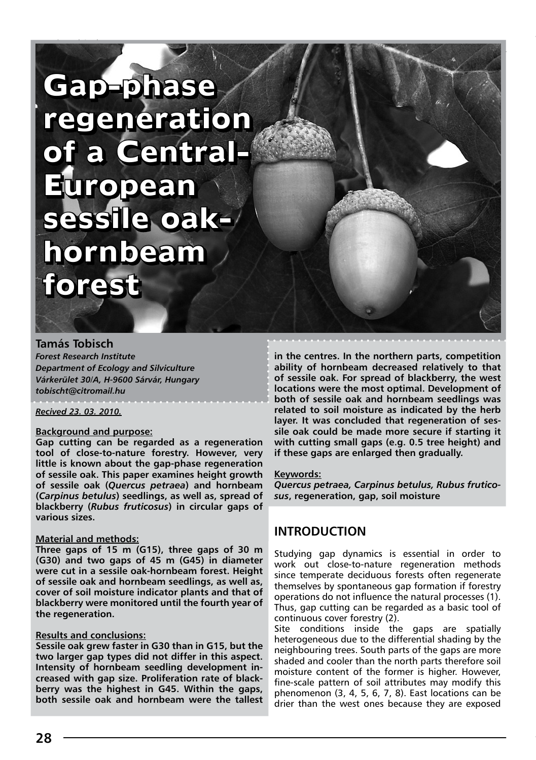# **Gap-phase Gap-phase regeneration regeneration of a Central-of a Central-European European sessile oak-sessile oakhornbeam hornbeam forest forest**

#### **Tamás Tobisch**

*Forest Research Institute Department of Ecology and Silviculture Várkerület 30/A, H-9600 Sárvár, Hungary tobischt@citromail.hu*

*Recived 23. 03. 2010.*

#### **Background and purpose:**

**Gap cutting can be regarded as a regeneration tool of close-to-nature forestry. However, very little is known about the gap-phase regeneration of sessile oak. This paper examines height growth of sessile oak (***Quercus petraea***) and hornbeam (***Carpinus betulus***) seedlings, as well as, spread of blackberry (***Rubus fruticosus***) in circular gaps of various sizes.**

#### **Material and methods:**

**Three gaps of 15 m (G15), three gaps of 30 m (G30) and two gaps of 45 m (G45) in diameter were cut in a sessile oak-hornbeam forest. Height of sessile oak and hornbeam seedlings, as well as, cover of soil moisture indicator plants and that of blackberry were monitored until the fourth year of the regeneration.** 

#### **Results and conclusions:**

**Sessile oak grew faster in G30 than in G15, but the two larger gap types did not differ in this aspect. Intensity of hornbeam seedling development increased with gap size. Proliferation rate of blackberry was the highest in G45. Within the gaps, both sessile oak and hornbeam were the tallest** 

I S S N 1 8 4 7 - 6 4 8 1

Tamás Tobisch Gap-phase regeneration of sessile oak de sessile oak de sessile oak de sessile oak de sessile oa

**in the centres. In the northern parts, competition ability of hornbeam decreased relatively to that of sessile oak. For spread of blackberry, the west locations were the most optimal. Development of both of sessile oak and hornbeam seedlings was related to soil moisture as indicated by the herb layer. It was concluded that regeneration of sessile oak could be made more secure if starting it with cutting small gaps (e.g. 0.5 tree height) and if these gaps are enlarged then gradually.** 

#### **Keywords:**

*Quercus petraea, Carpinus betulus, Rubus fruticosus***, regeneration, gap, soil moisture**

# **Introduction InTRoDucTIon**

Studying gap dynamics is essential in order to Studying gap dynamics is essential in order to work out close-to-nature regeneration methods work out close-to-nature regeneration methods since temperate deciduous forests often regenerate since temperate deciduous forests often regenerate themselves by spontaneous gap formation if forestry themselves by spontaneous gap formation if forestry operations do not influence the natural processes (1). operations do not influence the natural processes (1). Thus, gap cutting can be regarded as a basic tool of Thus, gap cutting can be regarded as a basic tool of continuous cover forestry (2). continuous cover forestry (2).

Site conditions inside the gaps are spatially Site conditions inside the gaps are spatially heterogeneous due to the differential shading by the heterogeneous due to the differential shading by the neighbouring trees. South parts of the gaps are more neighbouring trees. South parts of the gaps are more shaded and cooler than the north parts therefore soil shaded and cooler than the north parts therefore soil moisture content of the former is higher. However, moisture content of the former is higher. However, fine-scale pattern of soil attributes may modify this fine-scale pattern of soil attributes may modify this phenomenon (3, 4, 5, 6, 7, 8). East locations can be phenomenon (3, 4, 5, 6, 7, 8). East locations can be drier than the west ones because they are exposed drier than the west ones because they are exposed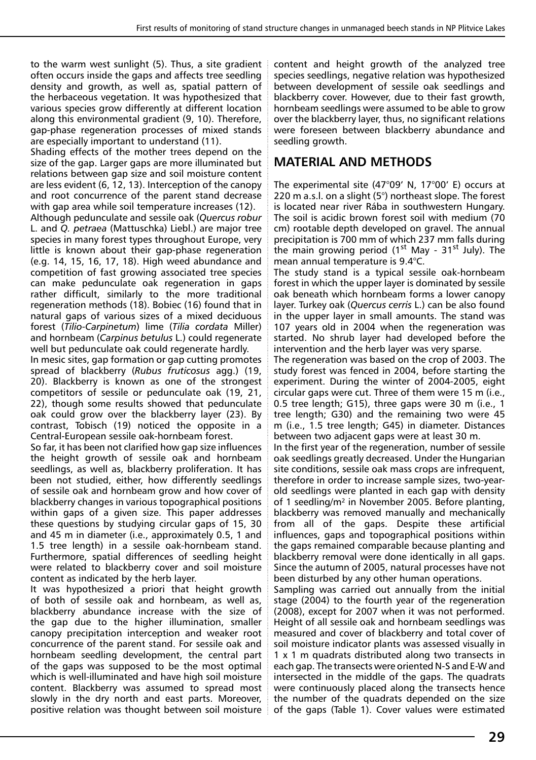to the warm west sunlight (5). Thus, a site gradient often occurs inside the gaps and affects tree seedling density and growth, as well as, spatial pattern of the herbaceous vegetation. It was hypothesized that various species grow differently at different location along this environmental gradient (9, 10). Therefore, gap-phase regeneration processes of mixed stands are especially important to understand (11).

Shading effects of the mother trees depend on the size of the gap. Larger gaps are more illuminated but relations between gap size and soil moisture content are less evident (6, 12, 13). Interception of the canopy and root concurrence of the parent stand decrease with gap area while soil temperature increases (12).

Although pedunculate and sessile oak (*Quercus robur*  L. and *Q. petraea* (Mattuschka) Liebl.) are major tree species in many forest types throughout Europe, very little is known about their gap-phase regeneration (e.g. 14, 15, 16, 17, 18). High weed abundance and competition of fast growing associated tree species can make pedunculate oak regeneration in gaps rather difficult, similarly to the more traditional regeneration methods (18). Bobiec (16) found that in natural gaps of various sizes of a mixed deciduous forest (*Tilio-Carpinetum*) lime (*Tilia cordata* Miller) and hornbeam (*Carpinus betulus* L.) could regenerate well but pedunculate oak could regenerate hardly.

In mesic sites, gap formation or gap cutting promotes spread of blackberry (*Rubus fruticosus* agg.) (19, 20). Blackberry is known as one of the strongest competitors of sessile or pedunculate oak (19, 21, 22), though some results showed that pedunculate oak could grow over the blackberry layer (23). By contrast, Tobisch (19) noticed the opposite in a Central-European sessile oak-hornbeam forest.

So far, it has been not clarified how gap size influences the height growth of sessile oak and hornbeam seedlings, as well as, blackberry proliferation. It has been not studied, either, how differently seedlings of sessile oak and hornbeam grow and how cover of blackberry changes in various topographical positions within gaps of a given size. This paper addresses these questions by studying circular gaps of 15, 30 and 45 m in diameter (i.e., approximately 0.5, 1 and 1.5 tree length) in a sessile oak-hornbeam stand. Furthermore, spatial differences of seedling height were related to blackberry cover and soil moisture content as indicated by the herb layer.

It was hypothesized a priori that height growth of both of sessile oak and hornbeam, as well as, blackberry abundance increase with the size of the gap due to the higher illumination, smaller canopy precipitation interception and weaker root concurrence of the parent stand. For sessile oak and hornbeam seedling development, the central part of the gaps was supposed to be the most optimal which is well-illuminated and have high soil moisture content. Blackberry was assumed to spread most slowly in the dry north and east parts. Moreover, positive relation was thought between soil moisture

content and height growth of the analyzed tree species seedlings, negative relation was hypothesized between development of sessile oak seedlings and blackberry cover. However, due to their fast growth, hornbeam seedlings were assumed to be able to grow over the blackberry layer, thus, no significant relations were foreseen between blackberry abundance and seedling growth.

# **Material and methods**

The experimental site (47°09' N, 17°00' E) occurs at 220 m a.s.l. on a slight (5°) northeast slope. The forest is located near river Rába in southwestern Hungary. The soil is acidic brown forest soil with medium (70 cm) rootable depth developed on gravel. The annual precipitation is 700 mm of which 237 mm falls during the main growing period  $(1<sup>st</sup>$  May - 31<sup>st</sup> July). The mean annual temperature is 9.4°C.

The study stand is a typical sessile oak-hornbeam forest in which the upper layer is dominated by sessile oak beneath which hornbeam forms a lower canopy layer. Turkey oak (*Quercus cerris* L.) can be also found in the upper layer in small amounts. The stand was 107 years old in 2004 when the regeneration was started. No shrub layer had developed before the intervention and the herb layer was very sparse.

The regeneration was based on the crop of 2003. The study forest was fenced in 2004, before starting the experiment. During the winter of 2004-2005, eight circular gaps were cut. Three of them were 15 m (i.e., 0.5 tree length; G15), three gaps were 30 m (i.e., 1 tree length; G30) and the remaining two were 45 m (i.e., 1.5 tree length; G45) in diameter. Distances between two adjacent gaps were at least 30 m.

In the first year of the regeneration, number of sessile oak seedlings greatly decreased. Under the Hungarian site conditions, sessile oak mass crops are infrequent, therefore in order to increase sample sizes, two-yearold seedlings were planted in each gap with density of 1 seedling/m² in November 2005. Before planting, blackberry was removed manually and mechanically from all of the gaps. Despite these artificial influences, gaps and topographical positions within the gaps remained comparable because planting and blackberry removal were done identically in all gaps. Since the autumn of 2005, natural processes have not been disturbed by any other human operations.

Sampling was carried out annually from the initial stage (2004) to the fourth year of the regeneration (2008), except for 2007 when it was not performed. Height of all sessile oak and hornbeam seedlings was measured and cover of blackberry and total cover of soil moisture indicator plants was assessed visually in 1 x 1 m quadrats distributed along two transects in each gap. The transects were oriented N-S and E-W and intersected in the middle of the gaps. The quadrats were continuously placed along the transects hence the number of the quadrats depended on the size of the gaps (Table 1). Cover values were estimated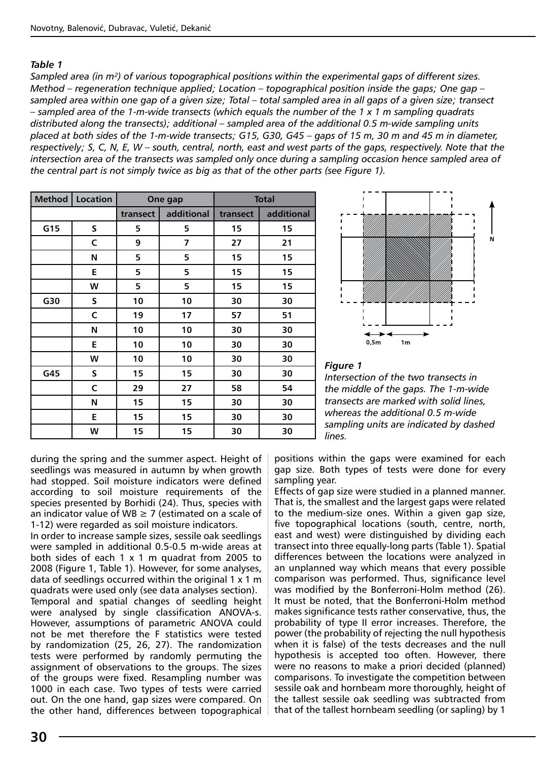#### *Table 1*

*Sampled area (in m²) of various topographical positions within the experimental gaps of different sizes. Method – regeneration technique applied; Location – topographical position inside the gaps; One gap – sampled area within one gap of a given size; Total – total sampled area in all gaps of a given size; transect – sampled area of the 1-m-wide transects (which equals the number of the 1 x 1 m sampling quadrats distributed along the transects); additional – sampled area of the additional 0.5 m-wide sampling units placed at both sides of the 1-m-wide transects; G15, G30, G45 – gaps of 15 m, 30 m and 45 m in diameter, respectively; S, C, N, E, W – south, central, north, east and west parts of the gaps, respectively. Note that the intersection area of the transects was sampled only once during a sampling occasion hence sampled area of the central part is not simply twice as big as that of the other parts (see Figure 1).*

| <b>Method</b> | Location | One gap  |            |          | <b>Total</b> |
|---------------|----------|----------|------------|----------|--------------|
|               |          | transect | additional | transect | additional   |
| G15           | S        | 5        | 5          | 15       | 15           |
|               | C        | 9        | 7          | 27       | 21           |
|               | Ν        | 5        | 5          | 15       | 15           |
|               | Е        | 5        | 5          | 15       | 15           |
|               | W        | 5        | 5          | 15       | 15           |
| G30           | S        | 10       | 10         | 30       | 30           |
|               | C        | 19       | 17         | 57       | 51           |
|               | Ν        | 10       | 10         | 30       | 30           |
|               | Е        | 10       | 10         | 30       | 30           |
|               | w        | 10       | 10         | 30       | 30           |
| G45           | S        | 15       | 15         | 30       | 30           |
|               | C        | 29       | 27         | 58       | 54           |
|               | N        | 15       | 15         | 30       | 30           |
|               | Е        | 15       | 15         | 30       | 30           |
|               | w        | 15       | 15         | 30       | 30           |



#### *Figure 1*

*Intersection of the two transects in the middle of the gaps. The 1-m-wide transects are marked with solid lines, whereas the additional 0.5 m-wide sampling units are indicated by dashed lines.*

during the spring and the summer aspect. Height of seedlings was measured in autumn by when growth had stopped. Soil moisture indicators were defined according to soil moisture requirements of the species presented by Borhidi (24). Thus, species with an indicator value of WB  $\geq$  7 (estimated on a scale of 1-12) were regarded as soil moisture indicators.

In order to increase sample sizes, sessile oak seedlings were sampled in additional 0.5-0.5 m-wide areas at both sides of each 1 x 1 m quadrat from 2005 to 2008 (Figure 1, Table 1). However, for some analyses, data of seedlings occurred within the original 1 x 1 m quadrats were used only (see data analyses section).

Temporal and spatial changes of seedling height were analysed by single classification ANOVA-s. However, assumptions of parametric ANOVA could not be met therefore the F statistics were tested by randomization (25, 26, 27). The randomization tests were performed by randomly permuting the assignment of observations to the groups. The sizes of the groups were fixed. Resampling number was 1000 in each case. Two types of tests were carried out. On the one hand, gap sizes were compared. On the other hand, differences between topographical positions within the gaps were examined for each gap size. Both types of tests were done for every sampling year.

Effects of gap size were studied in a planned manner. That is, the smallest and the largest gaps were related to the medium-size ones. Within a given gap size, five topographical locations (south, centre, north, east and west) were distinguished by dividing each transect into three equally-long parts (Table 1). Spatial differences between the locations were analyzed in an unplanned way which means that every possible comparison was performed. Thus, significance level was modified by the Bonferroni-Holm method (26). It must be noted, that the Bonferroni-Holm method makes significance tests rather conservative, thus, the probability of type II error increases. Therefore, the power (the probability of rejecting the null hypothesis when it is false) of the tests decreases and the null hypothesis is accepted too often. However, there were no reasons to make a priori decided (planned) comparisons. To investigate the competition between sessile oak and hornbeam more thoroughly, height of the tallest sessile oak seedling was subtracted from that of the tallest hornbeam seedling (or sapling) by 1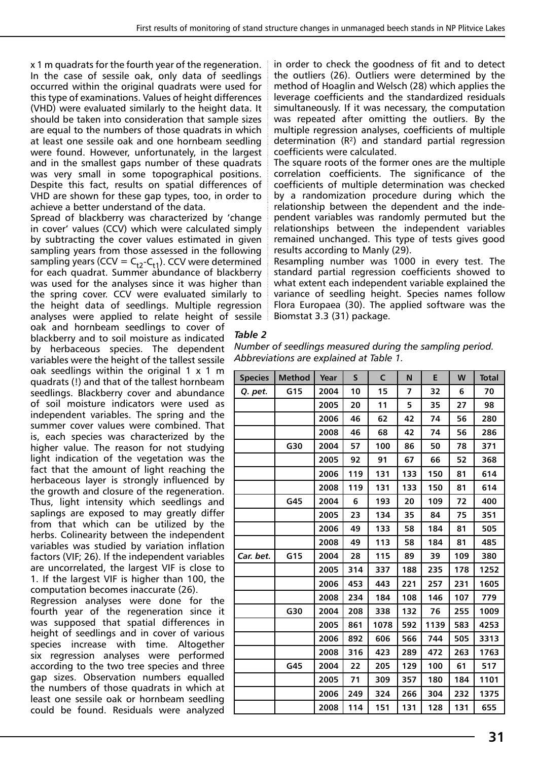x 1 m quadrats for the fourth year of the regeneration. In the case of sessile oak, only data of seedlings occurred within the original quadrats were used for this type of examinations. Values of height differences (VHD) were evaluated similarly to the height data. It should be taken into consideration that sample sizes are equal to the numbers of those quadrats in which at least one sessile oak and one hornbeam seedling were found. However, unfortunately, in the largest and in the smallest gaps number of these quadrats was very small in some topographical positions. Despite this fact, results on spatial differences of VHD are shown for these gap types, too, in order to achieve a better understand of the data.

Spread of blackberry was characterized by 'change in cover' values (CCV) which were calculated simply by subtracting the cover values estimated in given sampling years from those assessed in the following sampling years (CCV =  $C_{t2}$ - $C_{t1}$ ). CCV were determined for each quadrat. Summer abundance of blackberry was used for the analyses since it was higher than the spring cover. CCV were evaluated similarly to the height data of seedlings. Multiple regression

analyses were applied to relate height of sessile oak and hornbeam seedlings to cover of blackberry and to soil moisture as indicated by herbaceous species. The dependent variables were the height of the tallest sessile oak seedlings within the original 1 x 1 m quadrats (!) and that of the tallest hornbeam seedlings. Blackberry cover and abundance of soil moisture indicators were used as independent variables. The spring and the summer cover values were combined. That is, each species was characterized by the higher value. The reason for not studying light indication of the vegetation was the fact that the amount of light reaching the herbaceous layer is strongly influenced by the growth and closure of the regeneration. Thus, light intensity which seedlings and saplings are exposed to may greatly differ from that which can be utilized by the herbs. Colinearity between the independent variables was studied by variation inflation factors (VIF; 26). If the independent variables are uncorrelated, the largest VIF is close to 1. If the largest VIF is higher than 100, the computation becomes inaccurate (26).

Regression analyses were done for the fourth year of the regeneration since it was supposed that spatial differences in height of seedlings and in cover of various species increase with time. Altogether six regression analyses were performed according to the two tree species and three gap sizes. Observation numbers equalled the numbers of those quadrats in which at least one sessile oak or hornbeam seedling could be found. Residuals were analyzed in order to check the goodness of fit and to detect the outliers (26). Outliers were determined by the method of Hoaglin and Welsch (28) which applies the leverage coefficients and the standardized residuals simultaneously. If it was necessary, the computation was repeated after omitting the outliers. By the multiple regression analyses, coefficients of multiple determination (R²) and standard partial regression coefficients were calculated.

The square roots of the former ones are the multiple correlation coefficients. The significance of the coefficients of multiple determination was checked by a randomization procedure during which the relationship between the dependent and the independent variables was randomly permuted but the relationships between the independent variables remained unchanged. This type of tests gives good results according to Manly (29).

Resampling number was 1000 in every test. The standard partial regression coefficients showed to what extent each independent variable explained the variance of seedling height. Species names follow Flora Europaea (30). The applied software was the Biomstat 3.3 (31) package.

#### *Table 2*

*Number of seedlings measured during the sampling period. Abbreviations are explained at Table 1.*

| <b>Species</b> | <b>Method</b> | Year | S   | C    | N   | E    | W   | <b>Total</b> |
|----------------|---------------|------|-----|------|-----|------|-----|--------------|
| Q. pet.        | G15           | 2004 | 10  | 15   | 7   | 32   | 6   | 70           |
|                |               | 2005 | 20  | 11   | 5   | 35   | 27  | 98           |
|                |               | 2006 | 46  | 62   | 42  | 74   | 56  | 280          |
|                |               | 2008 | 46  | 68   | 42  | 74   | 56  | 286          |
|                | G30           | 2004 | 57  | 100  | 86  | 50   | 78  | 371          |
|                |               | 2005 | 92  | 91   | 67  | 66   | 52  | 368          |
|                |               | 2006 | 119 | 131  | 133 | 150  | 81  | 614          |
|                |               | 2008 | 119 | 131  | 133 | 150  | 81  | 614          |
|                | G45           | 2004 | 6   | 193  | 20  | 109  | 72  | 400          |
|                |               | 2005 | 23  | 134  | 35  | 84   | 75  | 351          |
|                |               | 2006 | 49  | 133  | 58  | 184  | 81  | 505          |
|                |               | 2008 | 49  | 113  | 58  | 184  | 81  | 485          |
| Car. bet.      | G15           | 2004 | 28  | 115  | 89  | 39   | 109 | 380          |
|                |               | 2005 | 314 | 337  | 188 | 235  | 178 | 1252         |
|                |               | 2006 | 453 | 443  | 221 | 257  | 231 | 1605         |
|                |               | 2008 | 234 | 184  | 108 | 146  | 107 | 779          |
|                | G30           | 2004 | 208 | 338  | 132 | 76   | 255 | 1009         |
|                |               | 2005 | 861 | 1078 | 592 | 1139 | 583 | 4253         |
|                |               | 2006 | 892 | 606  | 566 | 744  | 505 | 3313         |
|                |               | 2008 | 316 | 423  | 289 | 472  | 263 | 1763         |
|                | G45           | 2004 | 22  | 205  | 129 | 100  | 61  | 517          |
|                |               | 2005 | 71  | 309  | 357 | 180  | 184 | 1101         |
|                |               | 2006 | 249 | 324  | 266 | 304  | 232 | 1375         |
|                |               | 2008 | 114 | 151  | 131 | 128  | 131 | 655          |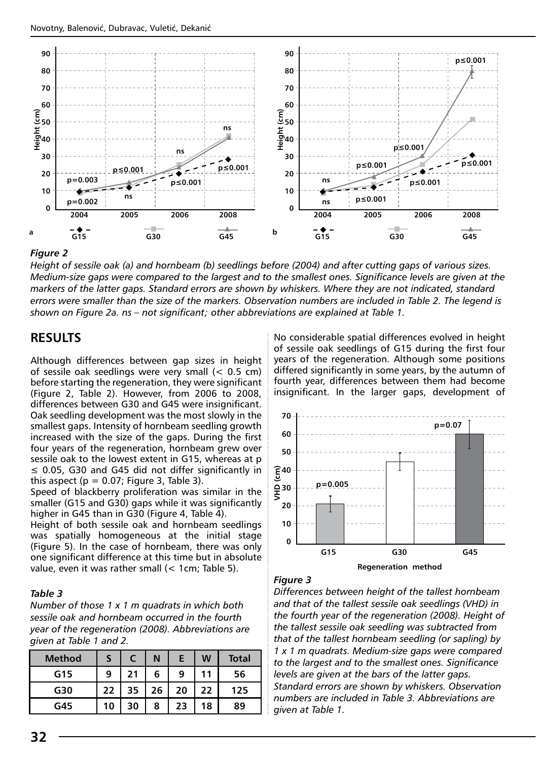

#### *Figure 2*

*Height of sessile oak (a) and hornbeam (b) seedlings before (2004) and after cutting gaps of various sizes. Medium-size gaps were compared to the largest and to the smallest ones. Significance levels are given at the markers of the latter gaps. Standard errors are shown by whiskers. Where they are not indicated, standard errors were smaller than the size of the markers. Observation numbers are included in Table 2. The legend is shown on Figure 2a. ns – not significant; other abbreviations are explained at Table 1.* 

## **Results**

Although differences between gap sizes in height of sessile oak seedlings were very small (< 0.5 cm) before starting the regeneration, they were significant (Figure 2, Table 2). However, from 2006 to 2008, differences between G30 and G45 were insignificant. Oak seedling development was the most slowly in the smallest gaps. Intensity of hornbeam seedling growth increased with the size of the gaps. During the first four years of the regeneration, hornbeam grew over sessile oak to the lowest extent in G15, whereas at p  $\leq$  0.05, G30 and G45 did not differ significantly in this aspect ( $p = 0.07$ ; Figure 3, Table 3).

Speed of blackberry proliferation was similar in the smaller (G15 and G30) gaps while it was significantly higher in G45 than in G30 (Figure 4, Table 4).

Height of both sessile oak and hornbeam seedlings was spatially homogeneous at the initial stage (Figure 5). In the case of hornbeam, there was only one significant difference at this time but in absolute value, even it was rather small (< 1cm; Table 5).

#### *Table 3*

*Number of those 1 x 1 m quadrats in which both sessile oak and hornbeam occurred in the fourth year of the regeneration (2008). Abbreviations are given at Table 1 and 2.* 

| <b>Method</b> | S  |    |    |    | W  | Total |
|---------------|----|----|----|----|----|-------|
| G15           | 9  | 21 | 6  | 9  | 11 | 56    |
| G30           | 22 | 35 | 26 | 20 | 22 | 125   |
| G45           | 10 | 30 |    | 23 | 18 | 89    |

No considerable spatial differences evolved in height of sessile oak seedlings of G15 during the first four years of the regeneration. Although some positions differed significantly in some years, by the autumn of fourth year, differences between them had become insignificant. In the larger gaps, development of



#### *Figure 3*

*Differences between height of the tallest hornbeam and that of the tallest sessile oak seedlings (VHD) in the fourth year of the regeneration (2008). Height of the tallest sessile oak seedling was subtracted from that of the tallest hornbeam seedling (or sapling) by 1 x 1 m quadrats. Medium-size gaps were compared to the largest and to the smallest ones. Significance levels are given at the bars of the latter gaps. Standard errors are shown by whiskers. Observation numbers are included in Table 3. Abbreviations are given at Table 1.*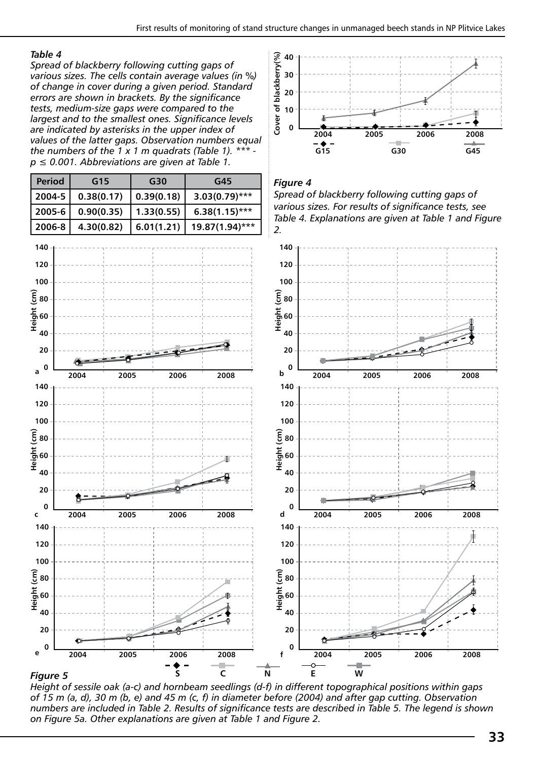**G15 G30 G45 2004 2005 2006 2008**

#### *Table 4*

*Spread of blackberry following cutting gaps of various sizes. The cells contain average values (in %) of change in cover during a given period. Standard errors are shown in brackets. By the significance tests, medium-size gaps were compared to the largest and to the smallest ones. Significance levels are indicated by asterisks in the upper index of values of the latter gaps. Observation numbers equal the numbers of the 1 x 1 m quadrats (Table 1). \*\*\* p ≤ 0.001. Abbreviations are given at Table 1.*



*Height of sessile oak (a-c) and hornbeam seedlings (d-f) in different topographical positions within gaps of 15 m (a, d), 30 m (b, e) and 45 m (c, f) in diameter before (2004) and after gap cutting. Observation numbers are included in Table 2. Results of significance tests are described in Table 5. The legend is shown on Figure 5a. Other explanations are given at Table 1 and Figure 2.*

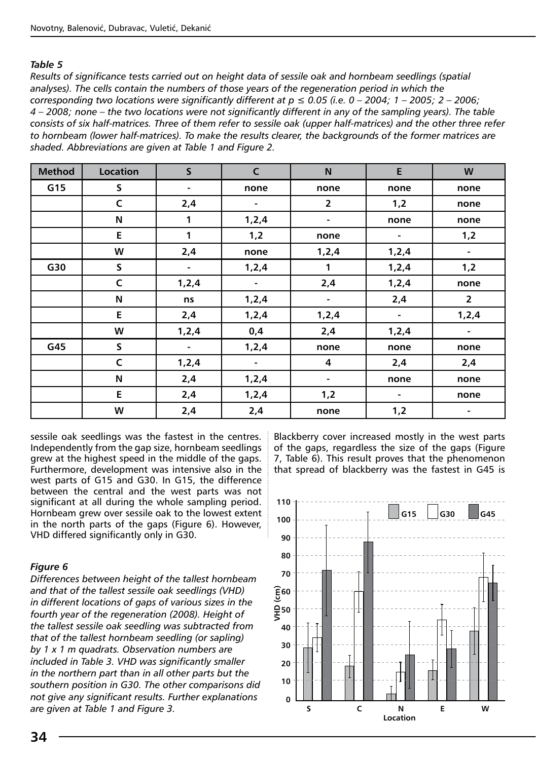#### *Table 5*

*Results of significance tests carried out on height data of sessile oak and hornbeam seedlings (spatial analyses). The cells contain the numbers of those years of the regeneration period in which the corresponding two locations were significantly different at*  $p \le 0.05$  *(i.e. 0 – 2004; 1 – 2005; 2 – 2006; 4 – 2008; none – the two locations were not significantly different in any of the sampling years). The table consists of six half-matrices. Three of them refer to sessile oak (upper half-matrices) and the other three refer to hornbeam (lower half-matrices). To make the results clearer, the backgrounds of the former matrices are shaded. Abbreviations are given at Table 1 and Figure 2.*

| <b>Method</b> | Location     | $\mathsf{s}$                 | $\mathsf{C}$ | N              | E              | W              |
|---------------|--------------|------------------------------|--------------|----------------|----------------|----------------|
| G15           | S            | ۰                            | none         | none           | none           | none           |
|               | C            | 2,4                          |              | $\overline{2}$ | 1,2            | none           |
|               | N            | 1                            | 1, 2, 4      | $\blacksquare$ | none           | none           |
|               | E            | $\mathbf{1}$                 | 1,2          | none           | ٠              | 1,2            |
|               | W            | 2,4                          | none         | 1, 2, 4        | 1, 2, 4        | ۰              |
| G30           | S            | $\qquad \qquad \blacksquare$ | 1, 2, 4      | $\mathbf{1}$   | 1, 2, 4        | 1,2            |
|               | $\mathsf{C}$ | 1, 2, 4                      | ٠            | 2,4            | 1, 2, 4        | none           |
|               | N            | ns                           | 1, 2, 4      | $\blacksquare$ | 2,4            | $\overline{2}$ |
|               | E.           | 2,4                          | 1, 2, 4      | 1, 2, 4        | $\blacksquare$ | 1, 2, 4        |
|               | W            | 1, 2, 4                      | 0,4          | 2,4            | 1, 2, 4        | ۰              |
| G45           | S            | $\blacksquare$               | 1, 2, 4      | none           | none           | none           |
|               | C            | 1, 2, 4                      | ٠            | $\overline{4}$ | 2,4            | 2,4            |
|               | N            | 2,4                          | 1, 2, 4      | ٠              | none           | none           |
|               | E            | 2,4                          | 1, 2, 4      | 1,2            | ٠              | none           |
|               | W            | 2,4                          | 2,4          | none           | 1,2            | ۰              |

sessile oak seedlings was the fastest in the centres. Independently from the gap size, hornbeam seedlings grew at the highest speed in the middle of the gaps. Furthermore, development was intensive also in the west parts of G15 and G30. In G15, the difference between the central and the west parts was not significant at all during the whole sampling period. Hornbeam grew over sessile oak to the lowest extent in the north parts of the gaps (Figure 6). However, VHD differed significantly only in G30.

#### *Figure 6*

*Differences between height of the tallest hornbeam and that of the tallest sessile oak seedlings (VHD) in different locations of gaps of various sizes in the fourth year of the regeneration (2008). Height of the tallest sessile oak seedling was subtracted from that of the tallest hornbeam seedling (or sapling) by 1 x 1 m quadrats. Observation numbers are included in Table 3. VHD was significantly smaller in the northern part than in all other parts but the southern position in G30. The other comparisons did not give any significant results. Further explanations are given at Table 1 and Figure 3.*

Blackberry cover increased mostly in the west parts of the gaps, regardless the size of the gaps (Figure 7, Table 6). This result proves that the phenomenon that spread of blackberry was the fastest in G45 is

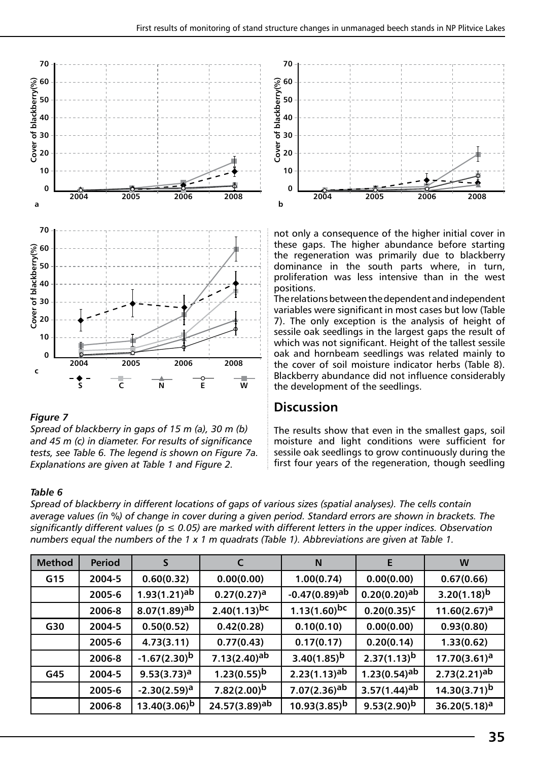

#### *Figure 7*

*Spread of blackberry in gaps of 15 m (a), 30 m (b) and 45 m (c) in diameter. For results of significance tests, see Table 6. The legend is shown on Figure 7a. Explanations are given at Table 1 and Figure 2.*

#### **70** Cover of blackberry(%) **60 Cover of blackberry(%) 50 40 30 20 10 0 2004 2005 2006 2008 b**

not only a consequence of the higher initial cover in these gaps. The higher abundance before starting the regeneration was primarily due to blackberry dominance in the south parts where, in turn, proliferation was less intensive than in the west positions.

The relations between the dependent and independent variables were significant in most cases but low (Table 7). The only exception is the analysis of height of sessile oak seedlings in the largest gaps the result of which was not significant. Height of the tallest sessile oak and hornbeam seedlings was related mainly to the cover of soil moisture indicator herbs (Table 8). Blackberry abundance did not influence considerably the development of the seedlings.

### **Discussion**

The results show that even in the smallest gaps, soil moisture and light conditions were sufficient for sessile oak seedlings to grow continuously during the first four years of the regeneration, though seedling

#### *Table 6*

*Spread of blackberry in different locations of gaps of various sizes (spatial analyses). The cells contain average values (in %) of change in cover during a given period. Standard errors are shown in brackets. The significantly different values (p ≤ 0.05) are marked with different letters in the upper indices. Observation numbers equal the numbers of the 1 x 1 m quadrats (Table 1). Abbreviations are given at Table 1.*

| <b>Method</b> | Period |                          |                             | N                          | Е                          | W                          |
|---------------|--------|--------------------------|-----------------------------|----------------------------|----------------------------|----------------------------|
| G15           | 2004-5 | 0.60(0.32)               | 0.00(0.00)                  | 1.00(0.74)                 | 0.00(0.00)                 | 0.67(0.66)                 |
|               | 2005-6 | $1.93(1.21)^{ab}$        | 0.27(0.27) <sup>a</sup>     | -0.47(0.89) <sup>ab</sup>  | $0.20(0.20)$ <sup>ab</sup> | $3.20(1.18)^{b}$           |
|               | 2006-8 | 8.07(1.89) <sup>ab</sup> | $2.40(1.13)$ <sub>bc</sub>  | $1.13(1.60)^{bc}$          | $0.20(0.35)^c$             | 11.60(2.67) <sup>a</sup>   |
| G30           | 2004-5 | 0.50(0.52)               | 0.42(0.28)                  | 0.10(0.10)                 | 0.00(0.00)                 | 0.93(0.80)                 |
|               | 2005-6 | 4.73(3.11)               | 0.77(0.43)                  | 0.17(0.17)                 | 0.20(0.14)                 | 1.33(0.62)                 |
|               | 2006-8 | $-1.67(2.30)^{b}$        | $7.13(2.40)^{ab}$           | $3.40(1.85)^{b}$           | $2.37(1.13)^{b}$           | $17.70(3.61)^a$            |
| G45           | 2004-5 | $9.53(3.73)^a$           | $1.23(0.55)^{b}$            | $2.23(1.13)$ <sup>ab</sup> | $1.23(0.54)$ <sup>ab</sup> | $2.73(2.21)$ <sup>ab</sup> |
|               | 2005-6 | $-2.30(2.59)^a$          | $7.82(2.00)^b$              | $7.07(2.36)$ <sup>ab</sup> | $3.57(1.44)$ <sup>ab</sup> | $14.30(3.71)^b$            |
|               | 2006-8 | $13.40(3.06)^{b}$        | $24.57(3.89)$ <sup>ab</sup> | $10.93(3.85)^{b}$          | $9.53(2.90)^b$             | $36.20(5.18)^a$            |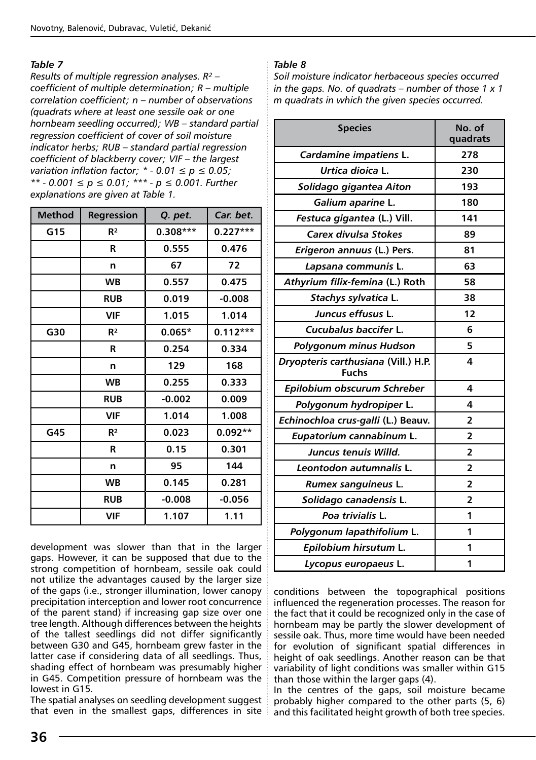#### *Table 7*

*Results of multiple regression analyses. R² – coefficient of multiple determination; R – multiple correlation coefficient; n – number of observations (quadrats where at least one sessile oak or one hornbeam seedling occurred); WB – standard partial regression coefficient of cover of soil moisture indicator herbs; RUB – standard partial regression coefficient of blackberry cover; VIF – the largest variation inflation factor; \* - 0.01 ≤ p ≤ 0.05; \*\* - 0.001 ≤ p ≤ 0.01; \*\*\* - p ≤ 0.001. Further explanations are given at Table 1.*

| <b>Method</b> | Regression     | Q. pet.    | Car. bet.  |
|---------------|----------------|------------|------------|
| G15           | R <sup>2</sup> | $0.308***$ | $0.227***$ |
|               | R              | 0.555      | 0.476      |
|               | n              | 67         | 72         |
|               | <b>WB</b>      | 0.557      | 0.475      |
|               | <b>RUB</b>     | 0.019      | $-0.008$   |
|               | <b>VIF</b>     | 1.015      | 1.014      |
| G30           | R <sup>2</sup> | $0.065*$   | $0.112***$ |
|               | R              | 0.254      | 0.334      |
|               | n              | 129        | 168        |
|               | <b>WB</b>      | 0.255      | 0.333      |
|               | <b>RUB</b>     | $-0.002$   | 0.009      |
|               | <b>VIF</b>     | 1.014      | 1.008      |
| G45           | R <sup>2</sup> | 0.023      | $0.092**$  |
|               | R              | 0.15       | 0.301      |
|               | n              | 95         | 144        |
|               | <b>WB</b>      | 0.145      | 0.281      |
|               | <b>RUB</b>     | $-0.008$   | $-0.056$   |
|               | <b>VIF</b>     | 1.107      | 1.11       |

development was slower than that in the larger gaps. However, it can be supposed that due to the strong competition of hornbeam, sessile oak could not utilize the advantages caused by the larger size of the gaps (i.e., stronger illumination, lower canopy precipitation interception and lower root concurrence of the parent stand) if increasing gap size over one tree length. Although differences between the heights of the tallest seedlings did not differ significantly between G30 and G45, hornbeam grew faster in the latter case if considering data of all seedlings. Thus, shading effect of hornbeam was presumably higher in G45. Competition pressure of hornbeam was the lowest in G15.

The spatial analyses on seedling development suggest that even in the smallest gaps, differences in site

#### *Table 8*

*Soil moisture indicator herbaceous species occurred in the gaps. No. of quadrats – number of those 1 x 1 m quadrats in which the given species occurred.*

| <b>Species</b>                                      | No. of<br>quadrats |
|-----------------------------------------------------|--------------------|
| Cardamine impatiens L.                              | 278                |
| Urtica dioica L.                                    | 230                |
| Solidago gigantea Aiton                             | 193                |
| Galium aparine L.                                   | 180                |
| Festuca gigantea (L.) Vill.                         | 141                |
| <b>Carex divulsa Stokes</b>                         | 89                 |
| Erigeron annuus (L.) Pers.                          | 81                 |
| Lapsana communis L.                                 | 63                 |
| Athyrium filix-femina (L.) Roth                     | 58                 |
| Stachys sylvatica L.                                | 38                 |
| Juncus effusus L.                                   | 12                 |
| Cucubalus baccifer L.                               | 6                  |
| Polygonum minus Hudson                              | 5                  |
| Dryopteris carthusiana (Vill.) H.P.<br><b>Fuchs</b> | 4                  |
| Epilobium obscurum Schreber                         | 4                  |
| Polygonum hydropiper L.                             | 4                  |
| Echinochloa crus-galli (L.) Beauv.                  | 2                  |
| Eupatorium cannabinum L.                            | $\overline{2}$     |
| Juncus tenuis Willd.                                | $\overline{2}$     |
| Leontodon autumnalis L.                             | $\overline{2}$     |
| <b>Rumex sanguineus L.</b>                          | $\overline{2}$     |
| Solidago canadensis L.                              | $\overline{2}$     |
| Poa trivialis L.                                    | 1                  |
| Polygonum lapathifolium L.                          | 1                  |
| Epilobium hirsutum L.                               | 1                  |
| Lycopus europaeus L.                                | 1                  |

conditions between the topographical positions influenced the regeneration processes. The reason for the fact that it could be recognized only in the case of hornbeam may be partly the slower development of sessile oak. Thus, more time would have been needed for evolution of significant spatial differences in height of oak seedlings. Another reason can be that variability of light conditions was smaller within G15 than those within the larger gaps (4).

In the centres of the gaps, soil moisture became probably higher compared to the other parts (5, 6) and this facilitated height growth of both tree species.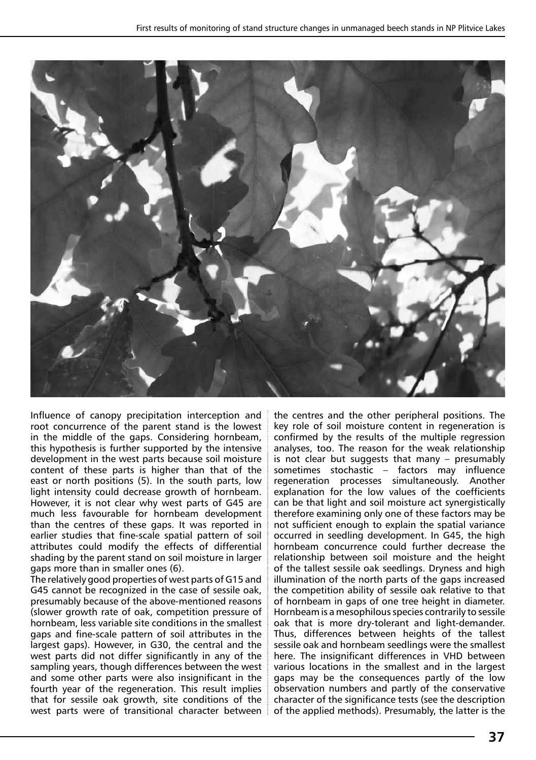

Influence of canopy precipitation interception and root concurrence of the parent stand is the lowest in the middle of the gaps. Considering hornbeam, this hypothesis is further supported by the intensive development in the west parts because soil moisture content of these parts is higher than that of the east or north positions (5). In the south parts, low light intensity could decrease growth of hornbeam. However, it is not clear why west parts of G45 are much less favourable for hornbeam development than the centres of these gaps. It was reported in earlier studies that fine-scale spatial pattern of soil attributes could modify the effects of differential shading by the parent stand on soil moisture in larger gaps more than in smaller ones (6).

The relatively good properties of west parts of G15 and G45 cannot be recognized in the case of sessile oak, presumably because of the above-mentioned reasons (slower growth rate of oak, competition pressure of hornbeam, less variable site conditions in the smallest gaps and fine-scale pattern of soil attributes in the largest gaps). However, in G30, the central and the west parts did not differ significantly in any of the sampling years, though differences between the west and some other parts were also insignificant in the fourth year of the regeneration. This result implies that for sessile oak growth, site conditions of the west parts were of transitional character between

the centres and the other peripheral positions. The key role of soil moisture content in regeneration is confirmed by the results of the multiple regression analyses, too. The reason for the weak relationship is not clear but suggests that many – presumably sometimes stochastic – factors may influence regeneration processes simultaneously. Another explanation for the low values of the coefficients can be that light and soil moisture act synergistically therefore examining only one of these factors may be not sufficient enough to explain the spatial variance occurred in seedling development. In G45, the high hornbeam concurrence could further decrease the relationship between soil moisture and the height of the tallest sessile oak seedlings. Dryness and high illumination of the north parts of the gaps increased the competition ability of sessile oak relative to that of hornbeam in gaps of one tree height in diameter. Hornbeam is a mesophilous species contrarily to sessile oak that is more dry-tolerant and light-demander. Thus, differences between heights of the tallest sessile oak and hornbeam seedlings were the smallest here. The insignificant differences in VHD between various locations in the smallest and in the largest gaps may be the consequences partly of the low observation numbers and partly of the conservative character of the significance tests (see the description of the applied methods). Presumably, the latter is the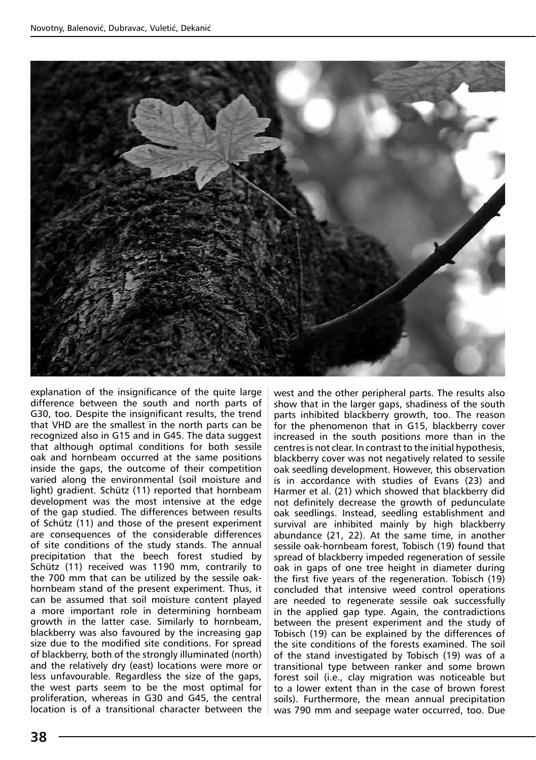

explanation of the insignificance of the quite large difference between the south and north parts of G30, too. Despite the insignificant results, the trend that VHD are the smallest in the north parts can be recognized also in G15 and in G45. The data suggest that although optimal conditions for both sessile oak and hornbeam occurred at the same positions inside the gaps, the outcome of their competition varied along the environmental (soil moisture and light) gradient. Schütz (11) reported that hornbeam development was the most intensive at the edge of the gap studied. The differences between results of Schütz (11) and those of the present experiment are consequences of the considerable differences of site conditions of the study stands. The annual precipitation that the beech forest studied by Schütz (11) received was 1190 mm, contrarily to the 700 mm that can be utilized by the sessile oakhornbeam stand of the present experiment. Thus, it can be assumed that soil moisture content played a more important role in determining hornbeam growth in the latter case. Similarly to hornbeam, blackberry was also favoured by the increasing gap size due to the modified site conditions. For spread of blackberry, both of the strongly illuminated (north) and the relatively dry (east) locations were more or less unfavourable. Regardless the size of the gaps, the west parts seem to be the most optimal for proliferation, whereas in G30 and G45, the central location is of a transitional character between the

west and the other peripheral parts. The results also show that in the larger gaps, shadiness of the south parts inhibited blackberry growth, too. The reason for the phenomenon that in G15, blackberry cover increased in the south positions more than in the centres is not clear. In contrast to the initial hypothesis, blackberry cover was not negatively related to sessile oak seedling development. However, this observation is in accordance with studies of Evans (23) and Harmer et al. (21) which showed that blackberry did not definitely decrease the growth of pedunculate oak seedlings. Instead, seedling establishment and survival are inhibited mainly by high blackberry abundance (21, 22). At the same time, in another sessile oak-hornbeam forest, Tobisch (19) found that spread of blackberry impeded regeneration of sessile oak in gaps of one tree height in diameter during the first five years of the regeneration. Tobisch (19) concluded that intensive weed control operations are needed to regenerate sessile oak successfully in the applied gap type. Again, the contradictions between the present experiment and the study of Tobisch (19) can be explained by the differences of the site conditions of the forests examined. The soil of the stand investigated by Tobisch (19) was of a transitional type between ranker and some brown forest soil (i.e., clay migration was noticeable but to a lower extent than in the case of brown forest soils). Furthermore, the mean annual precipitation was 790 mm and seepage water occurred, too. Due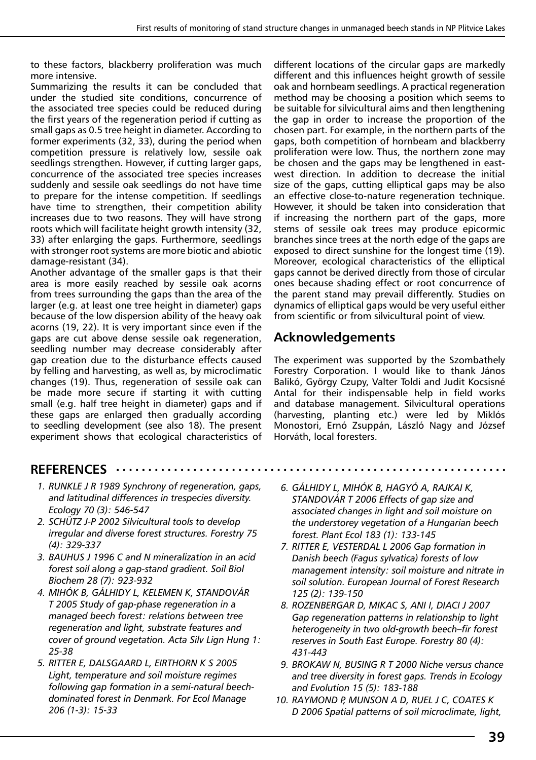to these factors, blackberry proliferation was much more intensive.

Summarizing the results it can be concluded that under the studied site conditions, concurrence of the associated tree species could be reduced during the first years of the regeneration period if cutting as small gaps as 0.5 tree height in diameter. According to former experiments (32, 33), during the period when competition pressure is relatively low, sessile oak seedlings strengthen. However, if cutting larger gaps, concurrence of the associated tree species increases suddenly and sessile oak seedlings do not have time to prepare for the intense competition. If seedlings have time to strengthen, their competition ability increases due to two reasons. They will have strong roots which will facilitate height growth intensity (32, 33) after enlarging the gaps. Furthermore, seedlings with stronger root systems are more biotic and abiotic damage-resistant (34).

Another advantage of the smaller gaps is that their area is more easily reached by sessile oak acorns from trees surrounding the gaps than the area of the larger (e.g. at least one tree height in diameter) gaps because of the low dispersion ability of the heavy oak acorns (19, 22). It is very important since even if the gaps are cut above dense sessile oak regeneration, seedling number may decrease considerably after gap creation due to the disturbance effects caused by felling and harvesting, as well as, by microclimatic changes (19). Thus, regeneration of sessile oak can be made more secure if starting it with cutting small (e.g. half tree height in diameter) gaps and if these gaps are enlarged then gradually according to seedling development (see also 18). The present experiment shows that ecological characteristics of

**REFERENCES**

- *1. RUNKLE J R 1989 Synchrony of regeneration, gaps, and latitudinal differences in trespecies diversity. Ecology 70 (3): 546-547*
- *2. SCHÜTZ J-P 2002 Silvicultural tools to develop irregular and diverse forest structures. Forestry 75 (4): 329-337*
- *3. BAUHUS J 1996 C and N mineralization in an acid forest soil along a gap-stand gradient. Soil Biol Biochem 28 (7): 923-932*
- *4. MIHÓK B, GÁLHIDY L, KELEMEN K, STANDOVÁR T 2005 Study of gap-phase regeneration in a managed beech forest: relations between tree regeneration and light, substrate features and cover of ground vegetation. Acta Silv Lign Hung 1: 25-38*
- *5. RITTER E, DALSGAARD L, EIRTHORN K S 2005 Light, temperature and soil moisture regimes following gap formation in a semi-natural beechdominated forest in Denmark. For Ecol Manage 206 (1-3): 15-33*

different locations of the circular gaps are markedly different and this influences height growth of sessile oak and hornbeam seedlings. A practical regeneration method may be choosing a position which seems to be suitable for silvicultural aims and then lengthening the gap in order to increase the proportion of the chosen part. For example, in the northern parts of the gaps, both competition of hornbeam and blackberry proliferation were low. Thus, the northern zone may be chosen and the gaps may be lengthened in eastwest direction. In addition to decrease the initial size of the gaps, cutting elliptical gaps may be also an effective close-to-nature regeneration technique. However, it should be taken into consideration that if increasing the northern part of the gaps, more stems of sessile oak trees may produce epicormic branches since trees at the north edge of the gaps are exposed to direct sunshine for the longest time (19). Moreover, ecological characteristics of the elliptical gaps cannot be derived directly from those of circular ones because shading effect or root concurrence of the parent stand may prevail differently. Studies on dynamics of elliptical gaps would be very useful either from scientific or from silvicultural point of view.

# **Acknowledgements**

The experiment was supported by the Szombathely Forestry Corporation. I would like to thank János Balikó, György Czupy, Valter Toldi and Judit Kocsisné Antal for their indispensable help in field works and database management. Silvicultural operations (harvesting, planting etc.) were led by Miklós Monostori, Ernó Zsuppán, László Nagy and József Horváth, local foresters.

 *6. GÁLHIDY L, MIHÓK B, HAGYÓ A, RAJKAI K, STANDOVÁR T 2006 Effects of gap size and associated changes in light and soil moisture on the understorey vegetation of a Hungarian beech* 

- *forest. Plant Ecol 183 (1): 133-145 7. RITTER E, VESTERDAL L 2006 Gap formation in Danish beech (Fagus sylvatica) forests of low management intensity: soil moisture and nitrate in soil solution. European Journal of Forest Research 125 (2): 139-150*
- *8. ROZENBERGAR D, MIKAC S, ANI I, DIACI J 2007 Gap regeneration patterns in relationship to light heterogeneity in two old-growth beech–fir forest reserves in South East Europe. Forestry 80 (4): 431-443*
- *9. BROKAW N, BUSING R T 2000 Niche versus chance and tree diversity in forest gaps. Trends in Ecology and Evolution 15 (5): 183-188*
- *10. RAYMOND P, MUNSON A D, RUEL J C, COATES K D 2006 Spatial patterns of soil microclimate, light,*